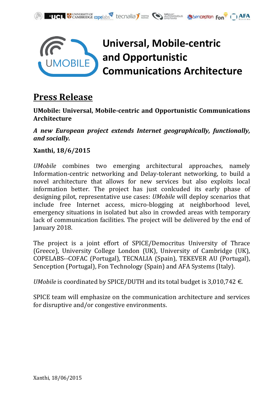



## **Press Release**

**UMobile: Universal, Mobile-centric and Opportunistic Communications Architecture**

*A new European project extends Internet geographically, functionally, and socially.*

## **Xanthi, 18/6/2015**

*UMobile* combines two emerging architectural approaches, namely Information-centric networking and Delay-tolerant networking, to build a novel architecture that allows for new services but also exploits local information better. The project has just conlcuded its early phase of designing pilot, representative use cases: *UMobile* will deploy scenarios that include free Internet access, micro-blogging at neighborhood level, emergency situations in isolated but also in crowded areas with temporary lack of communication facilities. The project will be delivered by the end of January 2018.

The project is a joint effort of SPICE/Democritus University of Thrace (Greece), University College London (UK), University of Cambridge (UK), COPELABS--COFAC (Portugal), TECNALIA (Spain), TEKEVER AU (Portugal), Senception (Portugal), Fon Technology (Spain) and AFA Systems (Italy).

*UMobile* is coordinated by SPICE/DUTH and its total budget is 3,010,742 €.

SPICE team will emphasize on the communication architecture and services for disruptive and/or congestive environments.